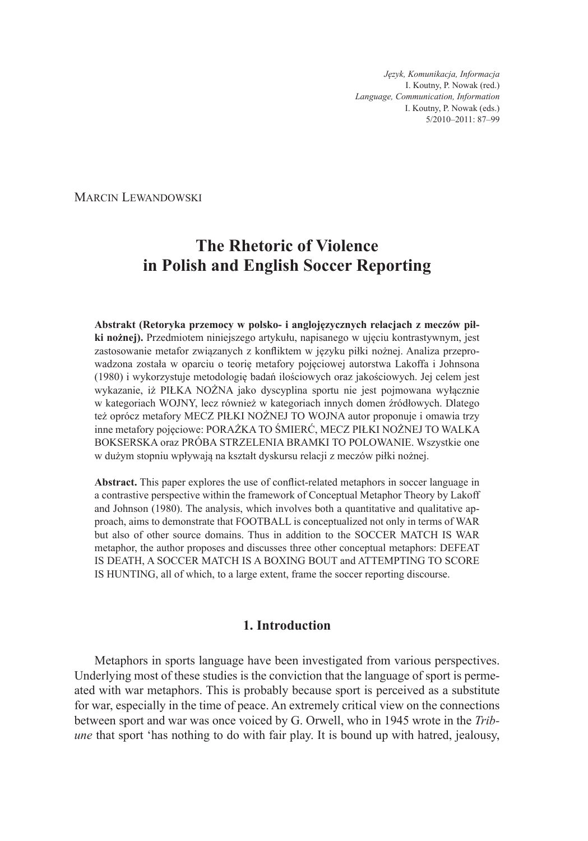*Język, Komunikacja, Informacja* I. Koutny, P. Nowak (red.) *Language, Communication, Information* I. Koutny, P. Nowak (eds.) 5/2010–2011: 87–99

Marcin Lewandowski

# **The Rhetoric of Violence in Polish and English Soccer Reporting**

**Abstrakt (Retoryka przemocy w polsko- i anglojęzycznych relacjach z meczów piłki nożnej).** Przedmiotem niniejszego artykułu, napisanego w ujęciu kontrastywnym, jest zastosowanie metafor związanych z konfliktem w języku piłki nożnej. Analiza przeprowadzona została w oparciu o teorię metafory pojęciowej autorstwa Lakoffa i Johnsona (1980) i wykorzystuje metodologię badań ilościowych oraz jakościowych. Jej celem jest wykazanie, iż PIŁKA NOŻNA jako dyscyplina sportu nie jest pojmowana wyłącznie w kategoriach WOJNY, lecz również w kategoriach innych domen źródłowych. Dlatego też oprócz metafory MECZ PIŁKI NOŻNEJ TO WOJNA autor proponuje i omawia trzy inne metafory pojęciowe: PORAŻKA TO ŚMIERĆ, MECZ PIŁKI NOŻNEJ TO WALKA BOKSERSKA oraz PRÓBA STRZELENIA BRAMKI TO POLOWANIE. Wszystkie one w dużym stopniu wpływają na kształt dyskursu relacji z meczów piłki nożnej.

**Abstract.** This paper explores the use of conflict-related metaphors in soccer language in a contrastive perspective within the framework of Conceptual Metaphor Theory by Lakoff and Johnson (1980). The analysis, which involves both a quantitative and qualitative approach, aims to demonstrate that FOOTBALL is conceptualized not only in terms of WAR but also of other source domains. Thus in addition to the SOCCER MATCH IS WAR metaphor, the author proposes and discusses three other conceptual metaphors: DEFEAT IS DEATH, A SOCCER MATCH IS A BOXING BOUT and ATTEMPTING TO SCORE IS HUNTING, all of which, to a large extent, frame the soccer reporting discourse.

## **1. Introduction**

Metaphors in sports language have been investigated from various perspectives. Underlying most of these studies is the conviction that the language of sport is permeated with war metaphors. This is probably because sport is perceived as a substitute for war, especially in the time of peace. An extremely critical view on the connections between sport and war was once voiced by G. Orwell, who in 1945 wrote in the *Tribune* that sport 'has nothing to do with fair play. It is bound up with hatred, jealousy,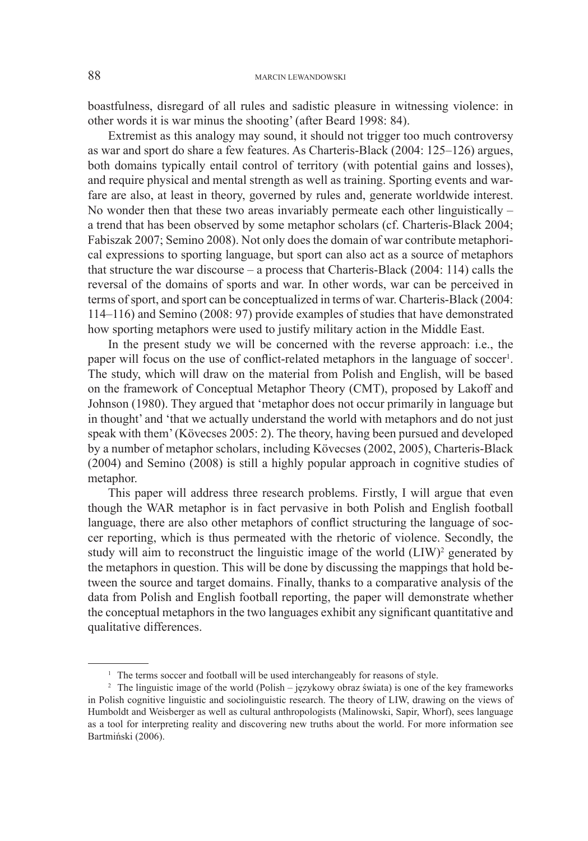boastfulness, disregard of all rules and sadistic pleasure in witnessing violence: in other words it is war minus the shooting' (after Beard 1998: 84).

Extremist as this analogy may sound, it should not trigger too much controversy as war and sport do share a few features. As Charteris-Black (2004: 125–126) argues, both domains typically entail control of territory (with potential gains and losses), and require physical and mental strength as well as training. Sporting events and warfare are also, at least in theory, governed by rules and, generate worldwide interest. No wonder then that these two areas invariably permeate each other linguistically  $$ a trend that has been observed by some metaphor scholars (cf. Charteris-Black 2004; Fabiszak 2007; Semino 2008). Not only does the domain of war contribute metaphorical expressions to sporting language, but sport can also act as a source of metaphors that structure the war discourse – a process that Charteris-Black (2004: 114) calls the reversal of the domains of sports and war. In other words, war can be perceived in terms of sport, and sport can be conceptualized in terms of war. Charteris-Black (2004: 114–116) and Semino (2008: 97) provide examples of studies that have demonstrated how sporting metaphors were used to justify military action in the Middle East.

In the present study we will be concerned with the reverse approach: i.e., the paper will focus on the use of conflict-related metaphors in the language of soccer<sup>1</sup>. The study, which will draw on the material from Polish and English, will be based on the framework of Conceptual Metaphor Theory (CMT), proposed by Lakoff and Johnson (1980). They argued that 'metaphor does not occur primarily in language but in thought' and 'that we actually understand the world with metaphors and do not just speak with them' (Kövecses 2005: 2). The theory, having been pursued and developed by a number of metaphor scholars, including Kövecses (2002, 2005), Charteris-Black (2004) and Semino (2008) is still a highly popular approach in cognitive studies of metaphor.

This paper will address three research problems. Firstly, I will argue that even though the WAR metaphor is in fact pervasive in both Polish and English football language, there are also other metaphors of conflict structuring the language of soccer reporting, which is thus permeated with the rhetoric of violence. Secondly, the study will aim to reconstruct the linguistic image of the world  $(LIW)^2$  generated by the metaphors in question. This will be done by discussing the mappings that hold between the source and target domains. Finally, thanks to a comparative analysis of the data from Polish and English football reporting, the paper will demonstrate whether the conceptual metaphors in the two languages exhibit any significant quantitative and qualitative differences.

<sup>&</sup>lt;sup>1</sup> The terms soccer and football will be used interchangeably for reasons of style.

<sup>2</sup> The linguistic image of the world (Polish – językowy obraz świata) is one of the key frameworks in Polish cognitive linguistic and sociolinguistic research. The theory of LIW, drawing on the views of Humboldt and Weisberger as well as cultural anthropologists (Malinowski, Sapir, Whorf), sees language as a tool for interpreting reality and discovering new truths about the world. For more information see Bartmiński (2006).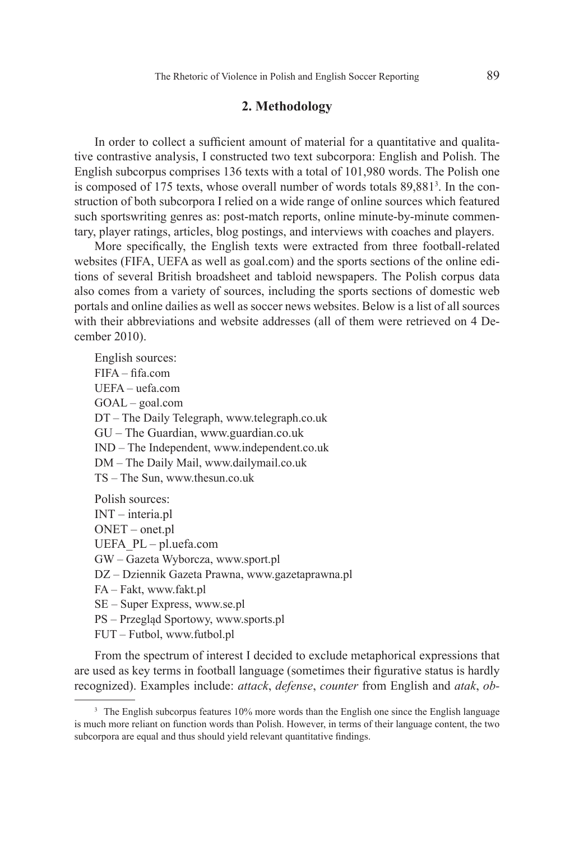#### **2. Methodology**

In order to collect a sufficient amount of material for a quantitative and qualitative contrastive analysis, I constructed two text subcorpora: English and Polish. The English subcorpus comprises 136 texts with a total of 101,980 words. The Polish one is composed of 175 texts, whose overall number of words totals 89,881<sup>3</sup>. In the construction of both subcorpora I relied on a wide range of online sources which featured such sportswriting genres as: post-match reports, online minute-by-minute commentary, player ratings, articles, blog postings, and interviews with coaches and players.

More specifically, the English texts were extracted from three football-related websites (FIFA, UEFA as well as goal.com) and the sports sections of the online editions of several British broadsheet and tabloid newspapers. The Polish corpus data also comes from a variety of sources, including the sports sections of domestic web portals and online dailies as well as soccer news websites. Below is a list of all sources with their abbreviations and website addresses (all of them were retrieved on 4 December 2010).

English sources: FIFA – fifa.com UEFA – uefa.com GOAL – goal.com DT – The Daily Telegraph, www.telegraph.co.uk GU – The Guardian, www.guardian.co.uk IND – The Independent, www.independent.co.uk DM – The Daily Mail, www.dailymail.co.uk TS – The Sun, www.thesun.co.uk Polish sources: INT – interia.pl ONET – onet.pl UEFA\_PL – pl.uefa.com GW – Gazeta Wyborcza, www.sport.pl DZ – Dziennik Gazeta Prawna, www.gazetaprawna.pl FA – Fakt, www.fakt.pl

SE – Super Express, www.se.pl

PS – Przegląd Sportowy, www.sports.pl

FUT – Futbol, www.futbol.pl

From the spectrum of interest I decided to exclude metaphorical expressions that are used as key terms in football language (sometimes their figurative status is hardly recognized). Examples include: *attack*, *defense*, *counter* from English and *atak*, *ob-*

<sup>&</sup>lt;sup>3</sup> The English subcorpus features 10% more words than the English one since the English language is much more reliant on function words than Polish. However, in terms of their language content, the two subcorpora are equal and thus should yield relevant quantitative findings.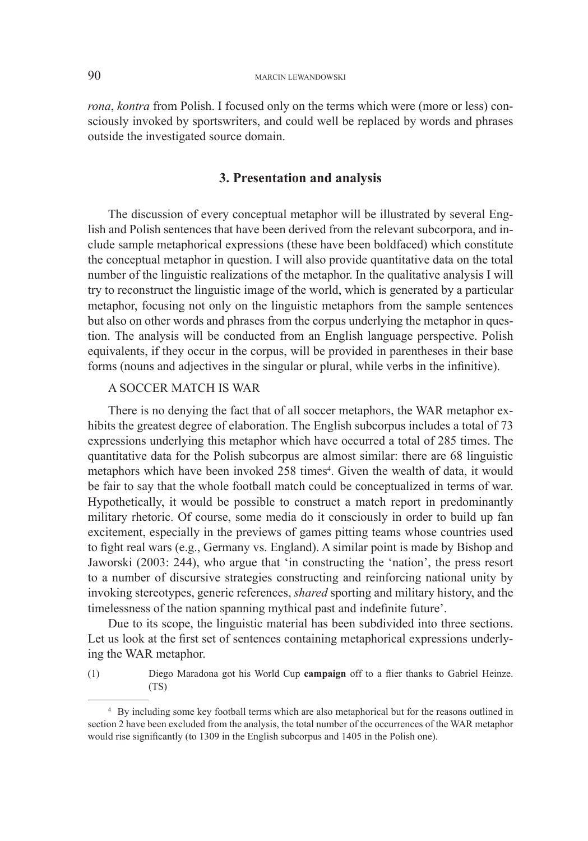*rona*, *kontra* from Polish. I focused only on the terms which were (more or less) consciously invoked by sportswriters, and could well be replaced by words and phrases outside the investigated source domain.

#### **3. Presentation and analysis**

The discussion of every conceptual metaphor will be illustrated by several English and Polish sentences that have been derived from the relevant subcorpora, and include sample metaphorical expressions (these have been boldfaced) which constitute the conceptual metaphor in question. I will also provide quantitative data on the total number of the linguistic realizations of the metaphor. In the qualitative analysis I will try to reconstruct the linguistic image of the world, which is generated by a particular metaphor, focusing not only on the linguistic metaphors from the sample sentences but also on other words and phrases from the corpus underlying the metaphor in question. The analysis will be conducted from an English language perspective. Polish equivalents, if they occur in the corpus, will be provided in parentheses in their base forms (nouns and adjectives in the singular or plural, while verbs in the infinitive).

#### A SOCCER MATCH IS WAR

There is no denying the fact that of all soccer metaphors, the WAR metaphor exhibits the greatest degree of elaboration. The English subcorpus includes a total of 73 expressions underlying this metaphor which have occurred a total of 285 times. The quantitative data for the Polish subcorpus are almost similar: there are 68 linguistic metaphors which have been invoked 258 times<sup>4</sup>. Given the wealth of data, it would be fair to say that the whole football match could be conceptualized in terms of war. Hypothetically, it would be possible to construct a match report in predominantly military rhetoric. Of course, some media do it consciously in order to build up fan excitement, especially in the previews of games pitting teams whose countries used to fight real wars (e.g., Germany vs. England). A similar point is made by Bishop and Jaworski (2003: 244), who argue that 'in constructing the 'nation', the press resort to a number of discursive strategies constructing and reinforcing national unity by invoking stereotypes, generic references, *shared* sporting and military history, and the timelessness of the nation spanning mythical past and indefinite future'.

Due to its scope, the linguistic material has been subdivided into three sections. Let us look at the first set of sentences containing metaphorical expressions underlying the WAR metaphor.

(1) Diego Maradona got his World Cup **campaign** off to a flier thanks to Gabriel Heinze. (TS)

<sup>4</sup> By including some key football terms which are also metaphorical but for the reasons outlined in section 2 have been excluded from the analysis, the total number of the occurrences of the WAR metaphor would rise significantly (to 1309 in the English subcorpus and 1405 in the Polish one).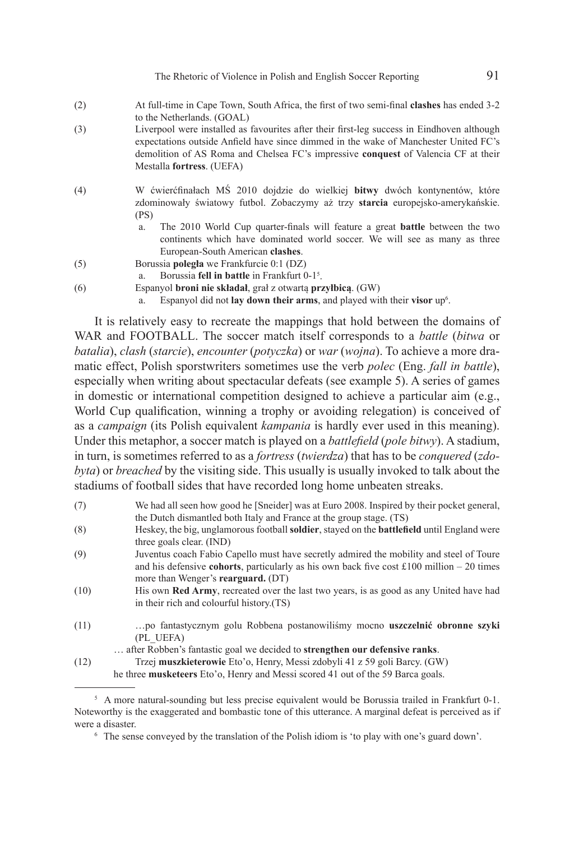The Rhetoric of Violence in Polish and English Soccer Reporting 91

- (2) At full-time in Cape Town, South Africa, the first of two semi-final **clashes** has ended 3-2 to the Netherlands. (GOAL)
- (3) Liverpool were installed as favourites after their first-leg success in Eindhoven although expectations outside Anfield have since dimmed in the wake of Manchester United FC's demolition of AS Roma and Chelsea FC's impressive **conquest** of Valencia CF at their Mestalla **fortress**. (UEFA)
- (4) W ćwierćfinałach MŚ 2010 dojdzie do wielkiej **bitwy** dwóch kontynentów, które zdominowały światowy futbol. Zobaczymy aż trzy **starcia** europejsko-amerykańskie. (PS)
	- a. The 2010 World Cup quarter-finals will feature a great **battle** between the two continents which have dominated world soccer. We will see as many as three European-South American **clashes**.
- (5) Borussia **poległa** we Frankfurcie 0:1 (DZ)
- a. Borussia **fell in battle** in Frankfurt 0-1<sup>5</sup>.
- (6) Espanyol **broni nie składał**, grał z otwartą **przyłbicą**. (GW)
	- a. Espanyol did not **lay down their arms**, and played with their **visor** up<sup>6</sup>.

It is relatively easy to recreate the mappings that hold between the domains of WAR and FOOTBALL. The soccer match itself corresponds to a *battle* (*bitwa* or *batalia*), *clash* (*starcie*), *encounter* (*potyczka*) or *war* (*wojna*). To achieve a more dramatic effect, Polish sporstwriters sometimes use the verb *polec* (Eng. *fall in battle*), especially when writing about spectacular defeats (see example 5). A series of games in domestic or international competition designed to achieve a particular aim (e.g., World Cup qualification, winning a trophy or avoiding relegation) is conceived of as a *campaign* (its Polish equivalent *kampania* is hardly ever used in this meaning). Under this metaphor, a soccer match is played on a *battlefield* (*pole bitwy*). A stadium, in turn, is sometimes referred to as a *fortress* (*twierdza*) that has to be *conquered* (*zdobyta*) or *breached* by the visiting side. This usually is usually invoked to talk about the stadiums of football sides that have recorded long home unbeaten streaks.

- (7) We had all seen how good he [Sneider] was at Euro 2008. Inspired by their pocket general, the Dutch dismantled both Italy and France at the group stage. (TS)
- (8) Heskey, the big, unglamorous football **soldier**, stayed on the **battlefield** until England were three goals clear. (IND)
- (9) Juventus coach Fabio Capello must have secretly admired the mobility and steel of Toure and his defensive **cohorts**, particularly as his own back five cost £100 million – 20 times more than Wenger's **rearguard.** (DT)
- (10) His own **Red Army**, recreated over the last two years, is as good as any United have had in their rich and colourful history.(TS)
- (11) …po fantastycznym golu Robbena postanowiliśmy mocno **uszczelnić obronne szyki** (PL\_UEFA)

<sup>…</sup> after Robben's fantastic goal we decided to **strengthen our defensive ranks**. (12) Trzej **muszkieterowie** Eto'o, Henry, Messi zdobyli 41 z 59 goli Barcy. (GW) he three **musketeers** Eto'o, Henry and Messi scored 41 out of the 59 Barca goals.

<sup>&</sup>lt;sup>5</sup> A more natural-sounding but less precise equivalent would be Borussia trailed in Frankfurt 0-1. Noteworthy is the exaggerated and bombastic tone of this utterance. A marginal defeat is perceived as if were a disaster.

<sup>6</sup> The sense conveyed by the translation of the Polish idiom is 'to play with one's guard down'.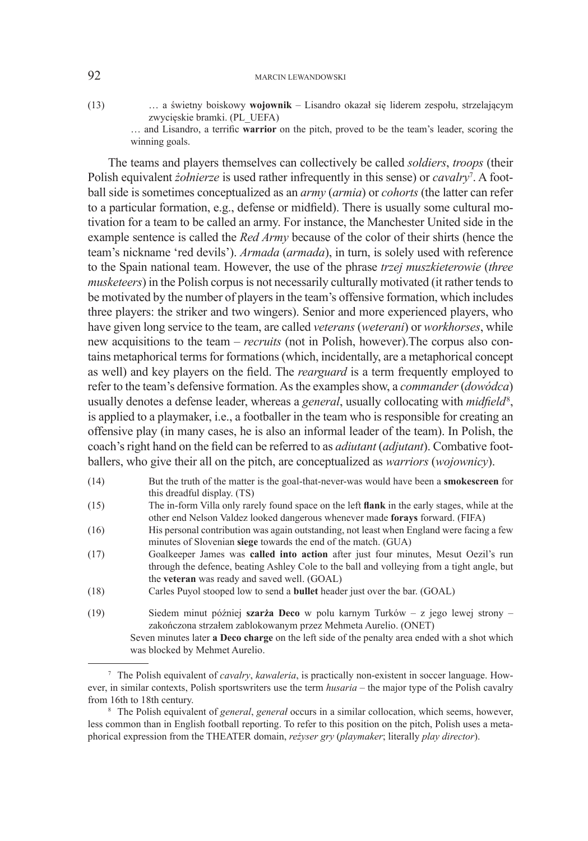#### 92 MARCIN LEWANDOWSKI

(13) … a świetny boiskowy **wojownik** – Lisandro okazał się liderem zespołu, strzelającym zwycięskie bramki. (PL\_UEFA)

> … and Lisandro, a terrific **warrior** on the pitch, proved to be the team's leader, scoring the winning goals.

The teams and players themselves can collectively be called *soldiers*, *troops* (their Polish equivalent *żołnierze* is used rather infrequently in this sense) or *cavalry*<sup>7</sup>. A football side is sometimes conceptualized as an *army* (*armia*) or *cohorts* (the latter can refer to a particular formation, e.g., defense or midfield). There is usually some cultural motivation for a team to be called an army. For instance, the Manchester United side in the example sentence is called the *Red Army* because of the color of their shirts (hence the team's nickname 'red devils'). *Armada* (*armada*), in turn, is solely used with reference to the Spain national team. However, the use of the phrase *trzej muszkieterowie* (*three musketeers*) in the Polish corpus is not necessarily culturally motivated (it rather tends to be motivated by the number of players in the team's offensive formation, which includes three players: the striker and two wingers). Senior and more experienced players, who have given long service to the team, are called *veterans* (*weterani*) or *workhorses*, while new acquisitions to the team – *recruits* (not in Polish, however).The corpus also contains metaphorical terms for formations (which, incidentally, are a metaphorical concept as well) and key players on the field. The *rearguard* is a term frequently employed to refer to the team's defensive formation. As the examples show, a *commander* (*dowódca*) usually denotes a defense leader, whereas a *general*, usually collocating with *midfield<sup>8</sup>*, is applied to a playmaker, i.e., a footballer in the team who is responsible for creating an offensive play (in many cases, he is also an informal leader of the team). In Polish, the coach's right hand on the field can be referred to as *adiutant* (*adjutant*). Combative footballers, who give their all on the pitch, are conceptualized as *warriors* (*wojownicy*).

- (14) But the truth of the matter is the goal-that-never-was would have been a **smokescreen** for this dreadful display. (TS)
- (15) The in-form Villa only rarely found space on the left **flank** in the early stages, while at the other end Nelson Valdez looked dangerous whenever made **forays** forward. (FIFA)
- (16) His personal contribution was again outstanding, not least when England were facing a few minutes of Slovenian **siege** towards the end of the match. (GUA)
- (17) Goalkeeper James was **called into action** after just four minutes, Mesut Oezil's run through the defence, beating Ashley Cole to the ball and volleying from a tight angle, but the **veteran** was ready and saved well. (GOAL)
- (18) Carles Puyol stooped low to send a **bullet** header just over the bar. (GOAL)
- (19) Siedem minut później **szarża Deco** w polu karnym Turków z jego lewej strony zakończona strzałem zablokowanym przez Mehmeta Aurelio. (ONET) Seven minutes later **a Deco charge** on the left side of the penalty area ended with a shot which was blocked by Mehmet Aurelio.

<sup>7</sup> The Polish equivalent of *cavalry*, *kawaleria*, is practically non-existent in soccer language. However, in similar contexts, Polish sportswriters use the term *husaria* – the major type of the Polish cavalry from 16th to 18th century.

<sup>8</sup> The Polish equivalent of *general*, *generał* occurs in a similar collocation, which seems, however, less common than in English football reporting. To refer to this position on the pitch, Polish uses a metaphorical expression from the THEATER domain, *reżyser gry* (*playmaker*; literally *play director*).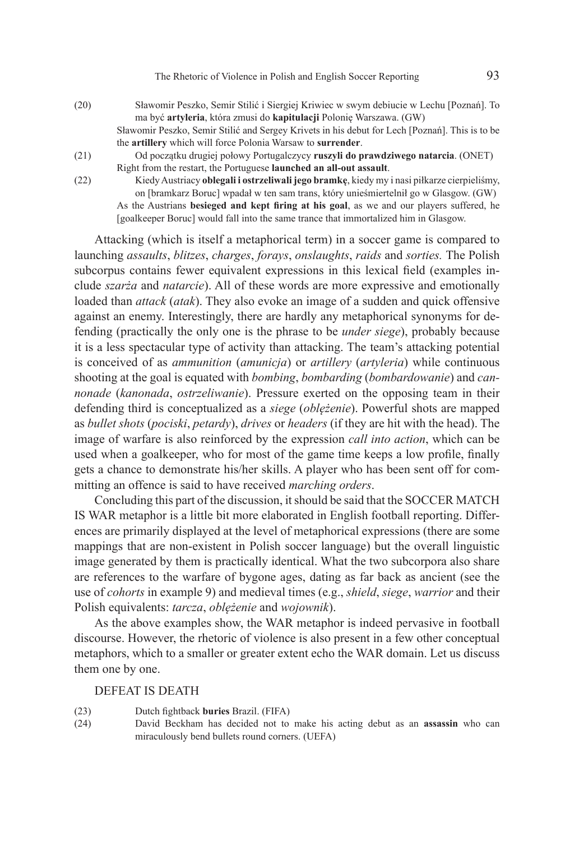- (20) Sławomir Peszko, Semir Stilić i Siergiej Kriwiec w swym debiucie w Lechu [Poznań]. To ma być **artyleria**, która zmusi do **kapitulacji** Polonię Warszawa. (GW) Sławomir Peszko, Semir Stilić and Sergey Krivets in his debut for Lech [Poznań]. This is to be the **artillery** which will force Polonia Warsaw to **surrender**.
- (21) Od początku drugiej połowy Portugalczycy **ruszyli do prawdziwego natarcia**. (ONET) Right from the restart, the Portuguese **launched an all-out assault**.
- (22) Kiedy Austriacy **oblegali i ostrzeliwali jego bramkę**, kiedy my i nasi piłkarze cierpieliśmy, on [bramkarz Boruc] wpadał w ten sam trans, który unieśmiertelnił go w Glasgow. (GW) As the Austrians **besieged and kept firing at his goal**, as we and our players suffered, he [goalkeeper Boruc] would fall into the same trance that immortalized him in Glasgow.

Attacking (which is itself a metaphorical term) in a soccer game is compared to launching *assaults*, *blitzes*, *charges*, *forays*, *onslaughts*, *raids* and *sorties.* The Polish subcorpus contains fewer equivalent expressions in this lexical field (examples include *szarża* and *natarcie*). All of these words are more expressive and emotionally loaded than *attack* (*atak*). They also evoke an image of a sudden and quick offensive against an enemy. Interestingly, there are hardly any metaphorical synonyms for defending (practically the only one is the phrase to be *under siege*), probably because it is a less spectacular type of activity than attacking. The team's attacking potential is conceived of as *ammunition* (*amunicja*) or *artillery* (*artyleria*) while continuous shooting at the goal is equated with *bombing*, *bombarding* (*bombardowanie*) and *cannonade* (*kanonada*, *ostrzeliwanie*). Pressure exerted on the opposing team in their defending third is conceptualized as a *siege* (*oblężenie*). Powerful shots are mapped as *bullet shots* (*pociski*, *petardy*), *drives* or *headers* (if they are hit with the head). The image of warfare is also reinforced by the expression *call into action*, which can be used when a goalkeeper, who for most of the game time keeps a low profile, finally gets a chance to demonstrate his/her skills. A player who has been sent off for committing an offence is said to have received *marching orders*.

Concluding this part of the discussion, it should be said that the SOCCER MATCH IS WAR metaphor is a little bit more elaborated in English football reporting. Differences are primarily displayed at the level of metaphorical expressions (there are some mappings that are non-existent in Polish soccer language) but the overall linguistic image generated by them is practically identical. What the two subcorpora also share are references to the warfare of bygone ages, dating as far back as ancient (see the use of *cohorts* in example 9) and medieval times (e.g., *shield*, *siege*, *warrior* and their Polish equivalents: *tarcza*, *oblężenie* and *wojownik*).

As the above examples show, the WAR metaphor is indeed pervasive in football discourse. However, the rhetoric of violence is also present in a few other conceptual metaphors, which to a smaller or greater extent echo the WAR domain. Let us discuss them one by one.

#### DEFEAT IS DEATH

- (23) Dutch fightback **buries** Brazil. (FIFA)
- (24) David Beckham has decided not to make his acting debut as an **assassin** who can miraculously bend bullets round corners. (UEFA)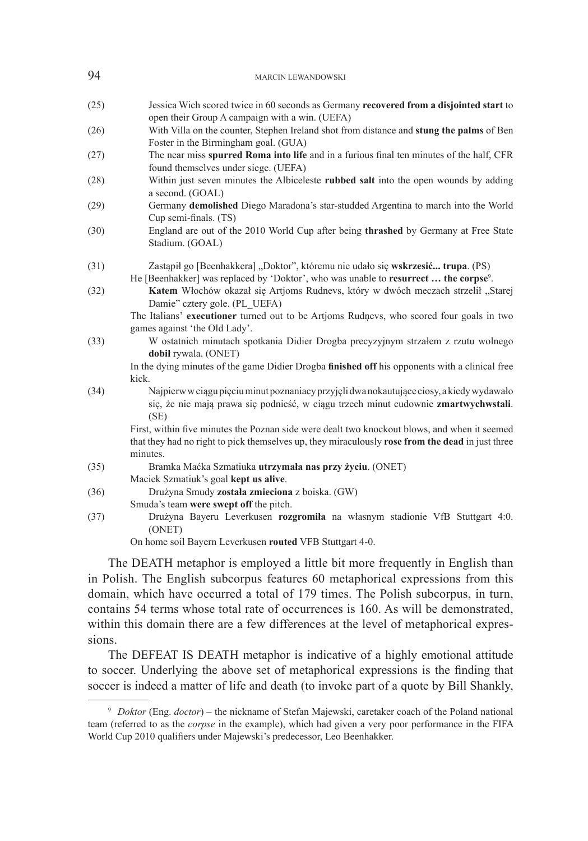| 94   | <b>MARCIN LEWANDOWSKI</b>                                                                                                                                                                                    |
|------|--------------------------------------------------------------------------------------------------------------------------------------------------------------------------------------------------------------|
| (25) | Jessica Wich scored twice in 60 seconds as Germany recovered from a disjointed start to<br>open their Group A campaign with a win. (UEFA)                                                                    |
| (26) | With Villa on the counter, Stephen Ireland shot from distance and <b>stung the palms</b> of Ben<br>Foster in the Birmingham goal. (GUA)                                                                      |
| (27) | The near miss spurred Roma into life and in a furious final ten minutes of the half, CFR<br>found themselves under siege. (UEFA)                                                                             |
| (28) | Within just seven minutes the Albiceleste rubbed salt into the open wounds by adding<br>a second. (GOAL)                                                                                                     |
| (29) | Germany demolished Diego Maradona's star-studded Argentina to march into the World<br>Cup semi-finals. (TS)                                                                                                  |
| (30) | England are out of the 2010 World Cup after being thrashed by Germany at Free State<br>Stadium. (GOAL)                                                                                                       |
| (31) | Zastąpił go [Beenhakkera] "Doktor", któremu nie udało się wskrzesić trupa. (PS)<br>He [Beenhakker] was replaced by 'Doktor', who was unable to resurrect  the corpse <sup>9</sup> .                          |
| (32) | Katem Włochów okazał się Artjoms Rudnevs, który w dwóch meczach strzelił "Starej<br>Damie" cztery gole. (PL UEFA)                                                                                            |
|      | The Italians' executioner turned out to be Artjoms Rudnevs, who scored four goals in two<br>games against 'the Old Lady'.                                                                                    |
| (33) | W ostatnich minutach spotkania Didier Drogba precyzyjnym strzałem z rzutu wolnego<br>dobil rywala. (ONET)                                                                                                    |
|      | In the dying minutes of the game Didier Drogba finished off his opponents with a clinical free<br>kick.                                                                                                      |
| (34) | Najpierw w ciągu pięciu minut poznaniacy przyjęli dwa nokautujące ciosy, a kiedy wydawało<br>się, że nie mają prawa się podnieść, w ciągu trzech minut cudownie zmartwychwstali.<br>(SE)                     |
|      | First, within five minutes the Poznan side were dealt two knockout blows, and when it seemed<br>that they had no right to pick themselves up, they miraculously rose from the dead in just three<br>minutes. |
| (35) | Bramka Maćka Szmatiuka utrzymała nas przy życiu. (ONET)<br>Maciek Szmatiuk's goal kept us alive.                                                                                                             |
| (36) | Drużyna Smudy została zmieciona z boiska. (GW)<br>Smuda's team were swept off the pitch.                                                                                                                     |
| (37) | Drużyna Bayeru Leverkusen rozgromiła na własnym stadionie VfB Stuttgart 4:0.<br>(ONET)                                                                                                                       |
|      | On home soil Bayern Leverkusen routed VFB Stuttgart 4-0.                                                                                                                                                     |
|      | The DEATH meterber is employed a little bit more frequently in English than                                                                                                                                  |

The DEATH metaphor is employed a little bit more frequently in English than in Polish. The English subcorpus features 60 metaphorical expressions from this domain, which have occurred a total of 179 times. The Polish subcorpus, in turn, contains 54 terms whose total rate of occurrences is 160. As will be demonstrated, within this domain there are a few differences at the level of metaphorical expressions.

The DEFEAT IS DEATH metaphor is indicative of a highly emotional attitude to soccer. Underlying the above set of metaphorical expressions is the finding that soccer is indeed a matter of life and death (to invoke part of a quote by Bill Shankly,

<sup>9</sup> *Doktor* (Eng. *doctor*) – the nickname of Stefan Majewski, caretaker coach of the Poland national team (referred to as the *corpse* in the example), which had given a very poor performance in the FIFA World Cup 2010 qualifiers under Majewski's predecessor, Leo Beenhakker.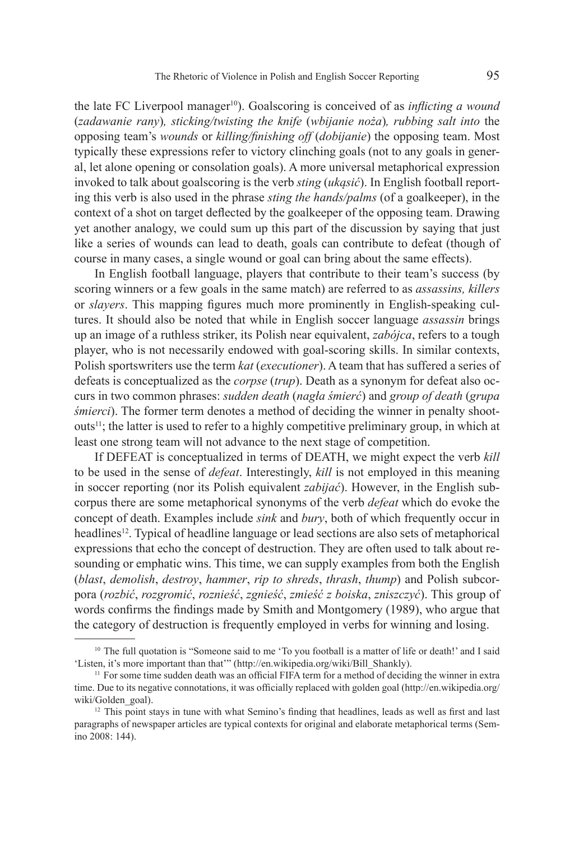the late FC Liverpool manager10). Goalscoring is conceived of as *inflicting a wound*  (*zadawanie rany*)*, sticking/twisting the knife* (*wbijanie noża*)*, rubbing salt into* the opposing team's *wounds* or *killing/finishing off* (*dobijanie*) the opposing team. Most typically these expressions refer to victory clinching goals (not to any goals in general, let alone opening or consolation goals). A more universal metaphorical expression invoked to talk about goalscoring is the verb *sting* (*ukąsić*). In English football reporting this verb is also used in the phrase *sting the hands/palms* (of a goalkeeper), in the context of a shot on target deflected by the goalkeeper of the opposing team. Drawing yet another analogy, we could sum up this part of the discussion by saying that just like a series of wounds can lead to death, goals can contribute to defeat (though of course in many cases, a single wound or goal can bring about the same effects).

In English football language, players that contribute to their team's success (by scoring winners or a few goals in the same match) are referred to as *assassins, killers* or *slayers*. This mapping figures much more prominently in English-speaking cultures. It should also be noted that while in English soccer language *assassin* brings up an image of a ruthless striker, its Polish near equivalent, *zabójca*, refers to a tough player, who is not necessarily endowed with goal-scoring skills. In similar contexts, Polish sportswriters use the term *kat* (*executioner*). A team that has suffered a series of defeats is conceptualized as the *corpse* (*trup*). Death as a synonym for defeat also occurs in two common phrases: *sudden death* (*nagła śmierć*) and *group of death* (*grupa śmierci*). The former term denotes a method of deciding the winner in penalty shoot $outs<sup>11</sup>$ ; the latter is used to refer to a highly competitive preliminary group, in which at least one strong team will not advance to the next stage of competition.

If DEFEAT is conceptualized in terms of DEATH, we might expect the verb *kill* to be used in the sense of *defeat*. Interestingly, *kill* is not employed in this meaning in soccer reporting (nor its Polish equivalent *zabijać*). However, in the English subcorpus there are some metaphorical synonyms of the verb *defeat* which do evoke the concept of death. Examples include *sink* and *bury*, both of which frequently occur in headlines12. Typical of headline language or lead sections are also sets of metaphorical expressions that echo the concept of destruction. They are often used to talk about resounding or emphatic wins. This time, we can supply examples from both the English (*blast*, *demolish*, *destroy*, *hammer*, *rip to shreds*, *thrash*, *thump*) and Polish subcorpora (*rozbić*, *rozgromić*, *roznieść*, *zgnieść*, *zmieść z boiska*, *zniszczyć*). This group of words confirms the findings made by Smith and Montgomery (1989), who argue that the category of destruction is frequently employed in verbs for winning and losing.

<sup>&</sup>lt;sup>10</sup> The full quotation is "Someone said to me 'To you football is a matter of life or death!' and I said 'Listen, it's more important than that'" (http://en.wikipedia.org/wiki/Bill\_Shankly).

<sup>&</sup>lt;sup>11</sup> For some time sudden death was an official FIFA term for a method of deciding the winner in extra time. Due to its negative connotations, it was officially replaced with golden goal (http://en.wikipedia.org/ wiki/Golden\_goal).

 $12$  This point stays in tune with what Semino's finding that headlines, leads as well as first and last paragraphs of newspaper articles are typical contexts for original and elaborate metaphorical terms (Semino 2008: 144).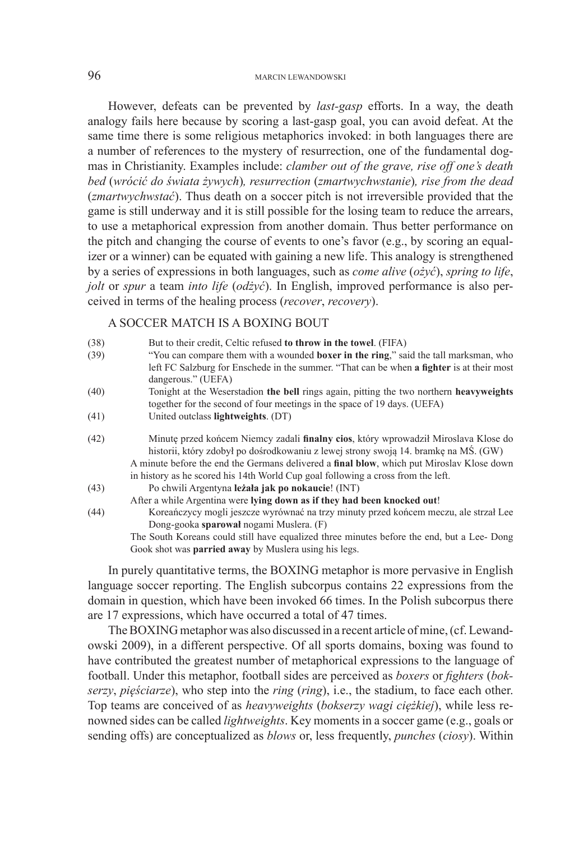#### 96 MARCIN LEWANDOWSKI

However, defeats can be prevented by *last-gasp* efforts. In a way, the death analogy fails here because by scoring a last-gasp goal, you can avoid defeat. At the same time there is some religious metaphorics invoked: in both languages there are a number of references to the mystery of resurrection, one of the fundamental dogmas in Christianity. Examples include: *clamber out of the grave, rise off one's death bed* (*wrócić do świata żywych*)*, resurrection* (*zmartwychwstanie*)*, rise from the dead*  (*zmartwychwstać*). Thus death on a soccer pitch is not irreversible provided that the game is still underway and it is still possible for the losing team to reduce the arrears, to use a metaphorical expression from another domain. Thus better performance on the pitch and changing the course of events to one's favor (e.g., by scoring an equalizer or a winner) can be equated with gaining a new life. This analogy is strengthened by a series of expressions in both languages, such as *come alive* (*ożyć*), *spring to life*, *jolt* or *spur* a team *into life* (*odżyć*). In English, improved performance is also perceived in terms of the healing process (*recover*, *recovery*).

### A SOCCER MATCH IS A BOXING BOUT

| (38) | But to their credit, Celtic refused to throw in the towel. (FIFA)                                |
|------|--------------------------------------------------------------------------------------------------|
| (39) | "You can compare them with a wounded <b>boxer in the ring</b> ," said the tall marksman, who     |
|      | left FC Salzburg for Enschede in the summer. "That can be when <b>a fighter</b> is at their most |
|      | dangerous." (UEFA)                                                                               |
| (40) | Tonight at the Weserstadion the bell rings again, pitting the two northern heavyweights          |
|      | together for the second of four meetings in the space of 19 days. (UEFA)                         |
| (41) | United outclass lightweights. (DT)                                                               |
| (42) | Minute przed końcem Niemcy zadali <b>finalny cios</b> , który wprowadził Miroslava Klose do      |
|      | historii, który zdobył po dośrodkowaniu z lewej strony swoją 14. bramkę na MS. (GW)              |
|      | A minute before the end the Germans delivered a final blow, which put Miroslav Klose down        |
|      | in history as he scored his 14th World Cup goal following a cross from the left.                 |
| (43) | Po chwili Argentyna leżała jak po nokaucie! (INT)                                                |
|      | After a while Argentina were lying down as if they had been knocked out!                         |
| (44) | Koreańczycy mogli jeszcze wyrównać na trzy minuty przed końcem meczu, ale strzał Lee             |
|      | Dong-gooka sparował nogami Muslera. (F)                                                          |
|      | The South Koreans could still have equalized three minutes before the end, but a Lee-Dong        |
|      | Gook shot was <b>parried away</b> by Muslera using his legs.                                     |

In purely quantitative terms, the BOXING metaphor is more pervasive in English language soccer reporting. The English subcorpus contains 22 expressions from the domain in question, which have been invoked 66 times. In the Polish subcorpus there are 17 expressions, which have occurred a total of 47 times.

The BOXING metaphor was also discussed in a recent article of mine, (cf. Lewandowski 2009), in a different perspective. Of all sports domains, boxing was found to have contributed the greatest number of metaphorical expressions to the language of football. Under this metaphor, football sides are perceived as *boxers* or *fighters* (*bokserzy*, *pięściarze*), who step into the *ring* (*ring*), i.e., the stadium, to face each other. Top teams are conceived of as *heavyweights* (*bokserzy wagi ciężkiej*), while less renowned sides can be called *lightweights*. Key moments in a soccer game (e.g., goals or sending offs) are conceptualized as *blows* or, less frequently, *punches* (*ciosy*). Within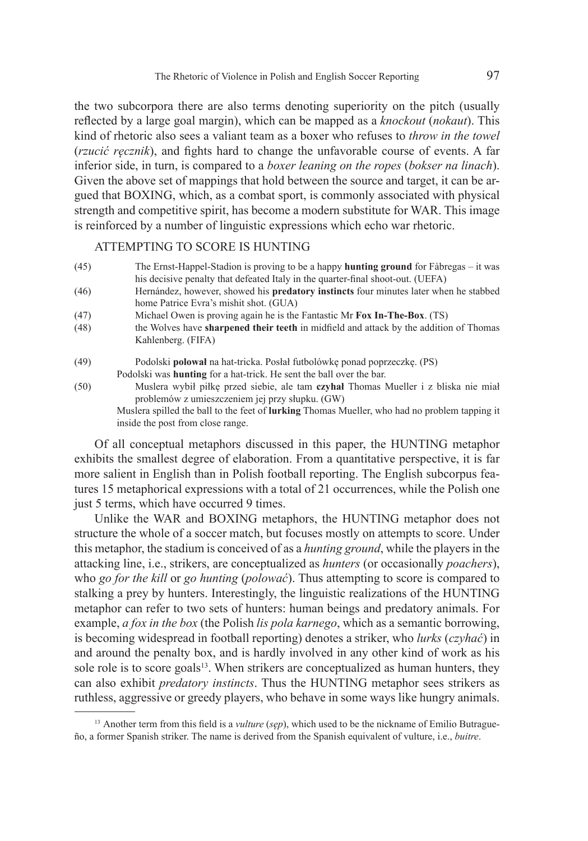the two subcorpora there are also terms denoting superiority on the pitch (usually reflected by a large goal margin), which can be mapped as a *knockout* (*nokaut*). This kind of rhetoric also sees a valiant team as a boxer who refuses to *throw in the towel* (*rzucić ręcznik*), and fights hard to change the unfavorable course of events. A far inferior side, in turn, is compared to a *boxer leaning on the ropes* (*bokser na linach*). Given the above set of mappings that hold between the source and target, it can be argued that BOXING, which, as a combat sport, is commonly associated with physical strength and competitive spirit, has become a modern substitute for WAR. This image is reinforced by a number of linguistic expressions which echo war rhetoric.

#### ATTEMPTING TO SCORE IS HUNTING

- (45) The Ernst-Happel-Stadion is proving to be a happy **hunting ground** for Fàbregas it was his decisive penalty that defeated Italy in the quarter-final shoot-out. (UEFA)
- (46) Hernández, however, showed his **predatory instincts** four minutes later when he stabbed home Patrice Evra's mishit shot. (GUA)
- (47) Michael Owen is proving again he is the Fantastic Mr **Fox In-The-Box**. (TS)
- (48) the Wolves have **sharpened their teeth** in midfield and attack by the addition of Thomas Kahlenberg. (FIFA)
- (49) Podolski **polował** na hat-tricka. Posłał futbolówkę ponad poprzeczkę. (PS) Podolski was **hunting** for a hat-trick. He sent the ball over the bar.
- (50) Muslera wybił piłkę przed siebie, ale tam **czyhał** Thomas Mueller i z bliska nie miał problemów z umieszczeniem jej przy słupku. (GW) Muslera spilled the ball to the feet of **lurking** Thomas Mueller, who had no problem tapping it inside the post from close range.

Of all conceptual metaphors discussed in this paper, the HUNTING metaphor exhibits the smallest degree of elaboration. From a quantitative perspective, it is far more salient in English than in Polish football reporting. The English subcorpus features 15 metaphorical expressions with a total of 21 occurrences, while the Polish one just 5 terms, which have occurred 9 times.

Unlike the WAR and BOXING metaphors, the HUNTING metaphor does not structure the whole of a soccer match, but focuses mostly on attempts to score. Under this metaphor, the stadium is conceived of as a *hunting ground*, while the players in the attacking line, i.e., strikers, are conceptualized as *hunters* (or occasionally *poachers*), who *go for the kill* or *go hunting* (*polować*). Thus attempting to score is compared to stalking a prey by hunters. Interestingly, the linguistic realizations of the HUNTING metaphor can refer to two sets of hunters: human beings and predatory animals. For example, *a fox in the box* (the Polish *lis pola karnego*, which as a semantic borrowing, is becoming widespread in football reporting) denotes a striker, who *lurks* (*czyhać*) in and around the penalty box, and is hardly involved in any other kind of work as his sole role is to score goals<sup>13</sup>. When strikers are conceptualized as human hunters, they can also exhibit *predatory instincts*. Thus the HUNTING metaphor sees strikers as ruthless, aggressive or greedy players, who behave in some ways like hungry animals.

<sup>13</sup> Another term from this field is a *vulture* (*sęp*), which used to be the nickname of Emilio Butragueño, a former Spanish striker. The name is derived from the Spanish equivalent of vulture, i.e., *buitre*.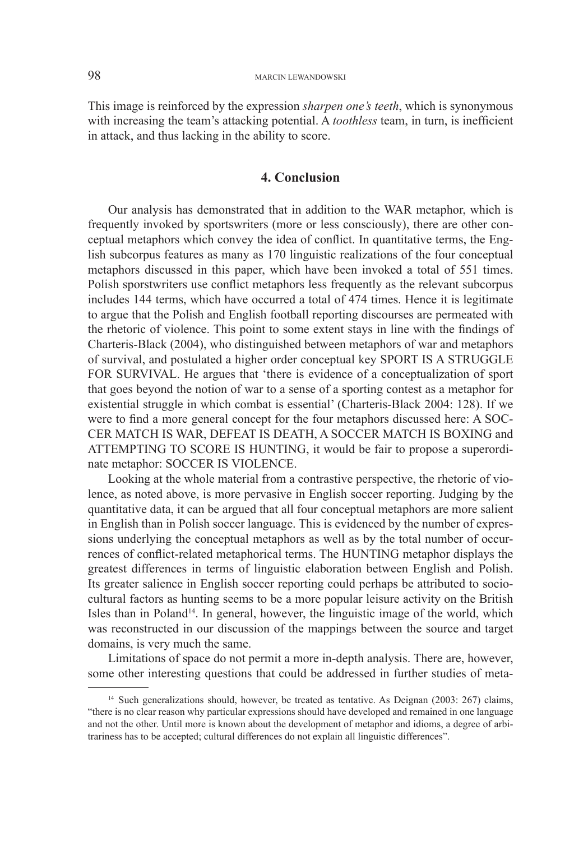This image is reinforced by the expression *sharpen one's teeth*, which is synonymous with increasing the team's attacking potential. A *toothless* team, in turn, is inefficient in attack, and thus lacking in the ability to score.

#### **4. Conclusion**

Our analysis has demonstrated that in addition to the WAR metaphor, which is frequently invoked by sportswriters (more or less consciously), there are other conceptual metaphors which convey the idea of conflict. In quantitative terms, the English subcorpus features as many as 170 linguistic realizations of the four conceptual metaphors discussed in this paper, which have been invoked a total of 551 times. Polish sporstwriters use conflict metaphors less frequently as the relevant subcorpus includes 144 terms, which have occurred a total of 474 times. Hence it is legitimate to argue that the Polish and English football reporting discourses are permeated with the rhetoric of violence. This point to some extent stays in line with the findings of Charteris-Black (2004), who distinguished between metaphors of war and metaphors of survival, and postulated a higher order conceptual key SPORT IS A STRUGGLE FOR SURVIVAL. He argues that 'there is evidence of a conceptualization of sport that goes beyond the notion of war to a sense of a sporting contest as a metaphor for existential struggle in which combat is essential' (Charteris-Black 2004: 128). If we were to find a more general concept for the four metaphors discussed here: A SOC-CER MATCH IS WAR, DEFEAT IS DEATH, A SOCCER MATCH IS BOXING and ATTEMPTING TO SCORE IS HUNTING, it would be fair to propose a superordinate metaphor: SOCCER IS VIOLENCE.

Looking at the whole material from a contrastive perspective, the rhetoric of violence, as noted above, is more pervasive in English soccer reporting. Judging by the quantitative data, it can be argued that all four conceptual metaphors are more salient in English than in Polish soccer language. This is evidenced by the number of expressions underlying the conceptual metaphors as well as by the total number of occurrences of conflict-related metaphorical terms. The HUNTING metaphor displays the greatest differences in terms of linguistic elaboration between English and Polish. Its greater salience in English soccer reporting could perhaps be attributed to sociocultural factors as hunting seems to be a more popular leisure activity on the British Isles than in Poland<sup>14</sup>. In general, however, the linguistic image of the world, which was reconstructed in our discussion of the mappings between the source and target domains, is very much the same.

Limitations of space do not permit a more in-depth analysis. There are, however, some other interesting questions that could be addressed in further studies of meta-

<sup>&</sup>lt;sup>14</sup> Such generalizations should, however, be treated as tentative. As Deignan (2003: 267) claims, "there is no clear reason why particular expressions should have developed and remained in one language and not the other. Until more is known about the development of metaphor and idioms, a degree of arbitrariness has to be accepted; cultural differences do not explain all linguistic differences".